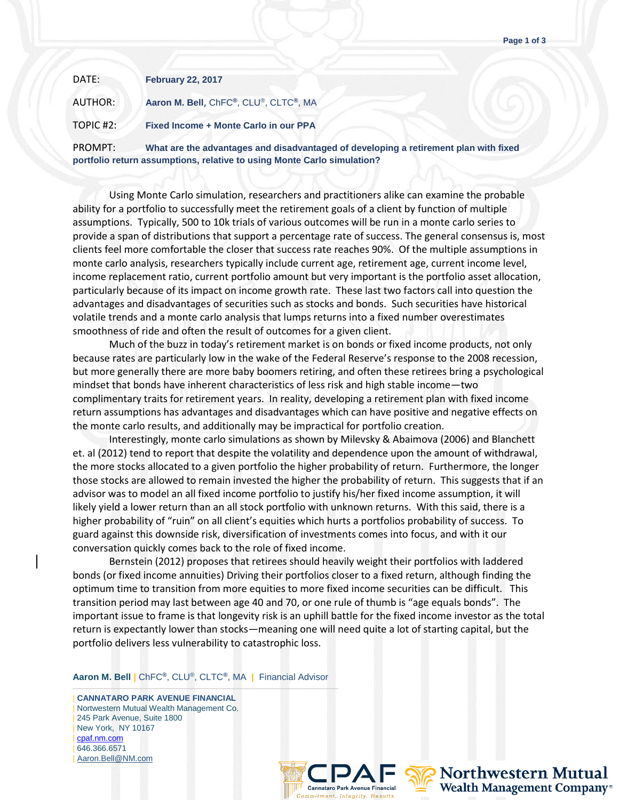| DATE:     | <b>February 22, 2017</b>              |
|-----------|---------------------------------------|
| AUTHOR:   | Aaron M. Bell, ChFC®, CLU®, CLTC®, MA |
| TOPIC #2: | Fixed Income + Monte Carlo in our PPA |

PROMPT: **What are the advantages and disadvantaged of developing a retirement plan with fixed portfolio return assumptions, relative to using Monte Carlo simulation?** 

Using Monte Carlo simulation, researchers and practitioners alike can examine the probable ability for a portfolio to successfully meet the retirement goals of a client by function of multiple assumptions. Typically, 500 to 10k trials of various outcomes will be run in a monte carlo series to provide a span of distributions that support a percentage rate of success. The general consensus is, most clients feel more comfortable the closer that success rate reaches 90%. Of the multiple assumptions in monte carlo analysis, researchers typically include current age, retirement age, current income level, income replacement ratio, current portfolio amount but very important is the portfolio asset allocation, particularly because of its impact on income growth rate. These last two factors call into question the advantages and disadvantages of securities such as stocks and bonds. Such securities have historical volatile trends and a monte carlo analysis that lumps returns into a fixed number overestimates smoothness of ride and often the result of outcomes for a given client.

Much of the buzz in today's retirement market is on bonds or fixed income products, not only because rates are particularly low in the wake of the Federal Reserve's response to the 2008 recession, but more generally there are more baby boomers retiring, and often these retirees bring a psychological mindset that bonds have inherent characteristics of less risk and high stable income—two complimentary traits for retirement years. In reality, developing a retirement plan with fixed income return assumptions has advantages and disadvantages which can have positive and negative effects on the monte carlo results, and additionally may be impractical for portfolio creation.

Interestingly, monte carlo simulations as shown by Milevsky & Abaimova (2006) and Blanchett et. al (2012) tend to report that despite the volatility and dependence upon the amount of withdrawal, the more stocks allocated to a given portfolio the higher probability of return. Furthermore, the longer those stocks are allowed to remain invested the higher the probability of return. This suggests that if an advisor was to model an all fixed income portfolio to justify his/her fixed income assumption, it will likely yield a lower return than an all stock portfolio with unknown returns. With this said, there is a higher probability of "ruin" on all client's equities which hurts a portfolios probability of success. To guard against this downside risk, diversification of investments comes into focus, and with it our conversation quickly comes back to the role of fixed income.

Bernstein (2012) proposes that retirees should heavily weight their portfolios with laddered bonds (or fixed income annuities) Driving their portfolios closer to a fixed return, although finding the optimum time to transition from more equities to more fixed income securities can be difficult. This transition period may last between age 40 and 70, or one rule of thumb is "age equals bonds". The important issue to frame is that longevity risk is an uphill battle for the fixed income investor as the total return is expectantly lower than stocks—meaning one will need quite a lot of starting capital, but the portfolio delivers less vulnerability to catastrophic loss.

**Aaron M. Bell |** ChFC**®**, CLU®, CLTC**®**, MA **|** Financial Advisor ———————————————————————————————————

| **CANNATARO PARK AVENUE FINANCIAL** | Nortwestern Mutual Wealth Management Co. | 245 Park Avenue, Suite 1800 | New York, NY 10167 | [cpaf.nm.com](http://www.cpaf.nm.com/) | 646.366.6571 [Aaron.Bell@NM.com](mailto:Aaron.Bell@NM.com)



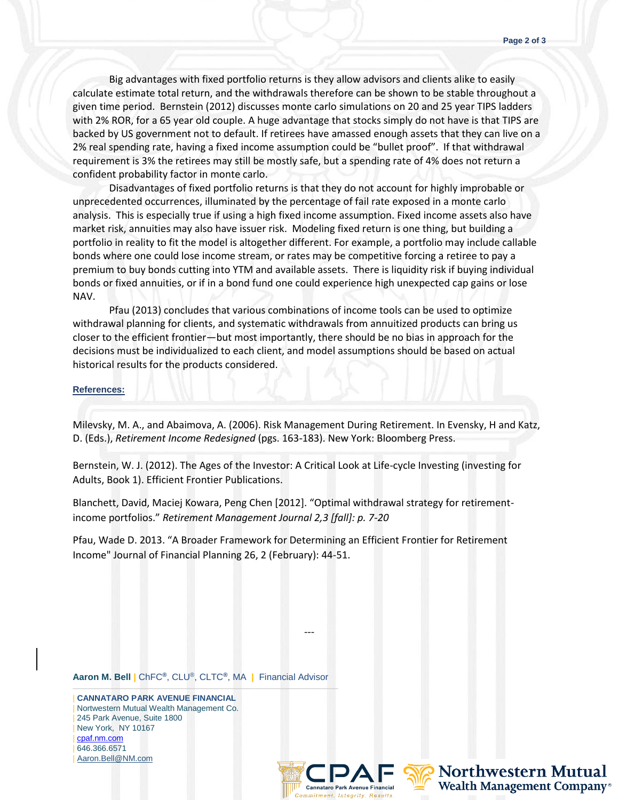Big advantages with fixed portfolio returns is they allow advisors and clients alike to easily calculate estimate total return, and the withdrawals therefore can be shown to be stable throughout a given time period. Bernstein (2012) discusses monte carlo simulations on 20 and 25 year TIPS ladders with 2% ROR, for a 65 year old couple. A huge advantage that stocks simply do not have is that TIPS are backed by US government not to default. If retirees have amassed enough assets that they can live on a 2% real spending rate, having a fixed income assumption could be "bullet proof". If that withdrawal requirement is 3% the retirees may still be mostly safe, but a spending rate of 4% does not return a confident probability factor in monte carlo.

Disadvantages of fixed portfolio returns is that they do not account for highly improbable or unprecedented occurrences, illuminated by the percentage of fail rate exposed in a monte carlo analysis. This is especially true if using a high fixed income assumption. Fixed income assets also have market risk, annuities may also have issuer risk. Modeling fixed return is one thing, but building a portfolio in reality to fit the model is altogether different. For example, a portfolio may include callable bonds where one could lose income stream, or rates may be competitive forcing a retiree to pay a premium to buy bonds cutting into YTM and available assets. There is liquidity risk if buying individual bonds or fixed annuities, or if in a bond fund one could experience high unexpected cap gains or lose NAV.

Pfau (2013) concludes that various combinations of income tools can be used to optimize withdrawal planning for clients, and systematic withdrawals from annuitized products can bring us closer to the efficient frontier—but most importantly, there should be no bias in approach for the decisions must be individualized to each client, and model assumptions should be based on actual historical results for the products considered.

## **References:**

Milevsky, M. A., and Abaimova, A. (2006). Risk Management During Retirement. In Evensky, H and Katz, D. (Eds.), *Retirement Income Redesigned* (pgs. 163-183). New York: Bloomberg Press.

Bernstein, W. J. (2012). The Ages of the Investor: A Critical Look at Life-cycle Investing (investing for Adults, Book 1). Efficient Frontier Publications.

Blanchett, David, Maciej Kowara, Peng Chen [2012]. "Optimal withdrawal strategy for retirementincome portfolios." *Retirement Management Journal 2,3 [fall]: p. 7-20*

Pfau, Wade D. 2013. "A Broader Framework for Determining an Efficient Frontier for Retirement Income" Journal of Financial Planning 26, 2 (February): 44-51.

---

**Aaron M. Bell |** ChFC**®**, CLU®, CLTC**®**, MA **|** Financial Advisor

——————————————————————————————————— | **CANNATARO PARK AVENUE FINANCIAL** | Nortwestern Mutual Wealth Management Co. | 245 Park Avenue, Suite 1800 | New York, NY 10167 | [cpaf.nm.com](http://www.cpaf.nm.com/) | 646.366.6571 [Aaron.Bell@NM.com](mailto:Aaron.Bell@NM.com)